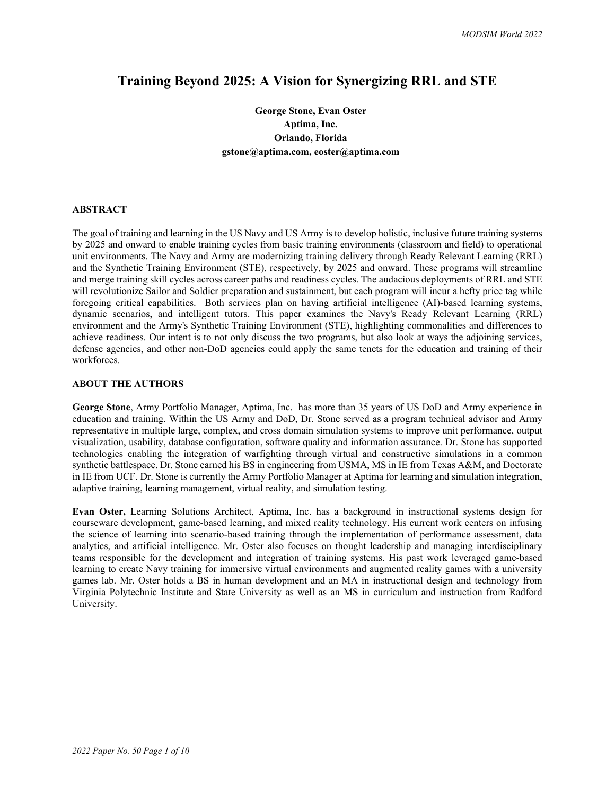# **Training Beyond 2025: A Vision for Synergizing RRL and STE**

**George Stone, Evan Oster Aptima, Inc. Orlando, Florida gstone@aptima.com, eoster@aptima.com**

# **ABSTRACT**

The goal of training and learning in the US Navy and US Army is to develop holistic, inclusive future training systems by 2025 and onward to enable training cycles from basic training environments (classroom and field) to operational unit environments. The Navy and Army are modernizing training delivery through Ready Relevant Learning (RRL) and the Synthetic Training Environment (STE), respectively, by 2025 and onward. These programs will streamline and merge training skill cycles across career paths and readiness cycles. The audacious deployments of RRL and STE will revolutionize Sailor and Soldier preparation and sustainment, but each program will incur a hefty price tag while foregoing critical capabilities. Both services plan on having artificial intelligence (AI)-based learning systems, dynamic scenarios, and intelligent tutors. This paper examines the Navy's Ready Relevant Learning (RRL) environment and the Army's Synthetic Training Environment (STE), highlighting commonalities and differences to achieve readiness. Our intent is to not only discuss the two programs, but also look at ways the adjoining services, defense agencies, and other non-DoD agencies could apply the same tenets for the education and training of their workforces.

## **ABOUT THE AUTHORS**

**George Stone**, Army Portfolio Manager, Aptima, Inc. has more than 35 years of US DoD and Army experience in education and training. Within the US Army and DoD, Dr. Stone served as a program technical advisor and Army representative in multiple large, complex, and cross domain simulation systems to improve unit performance, output visualization, usability, database configuration, software quality and information assurance. Dr. Stone has supported technologies enabling the integration of warfighting through virtual and constructive simulations in a common synthetic battlespace. Dr. Stone earned his BS in engineering from USMA, MS in IE from Texas A&M, and Doctorate in IE from UCF. Dr. Stone is currently the Army Portfolio Manager at Aptima for learning and simulation integration, adaptive training, learning management, virtual reality, and simulation testing.

**Evan Oster,** Learning Solutions Architect, Aptima, Inc. has a background in instructional systems design for courseware development, game-based learning, and mixed reality technology. His current work centers on infusing the science of learning into scenario-based training through the implementation of performance assessment, data analytics, and artificial intelligence. Mr. Oster also focuses on thought leadership and managing interdisciplinary teams responsible for the development and integration of training systems. His past work leveraged game-based learning to create Navy training for immersive virtual environments and augmented reality games with a university games lab. Mr. Oster holds a BS in human development and an MA in instructional design and technology from Virginia Polytechnic Institute and State University as well as an MS in curriculum and instruction from Radford University.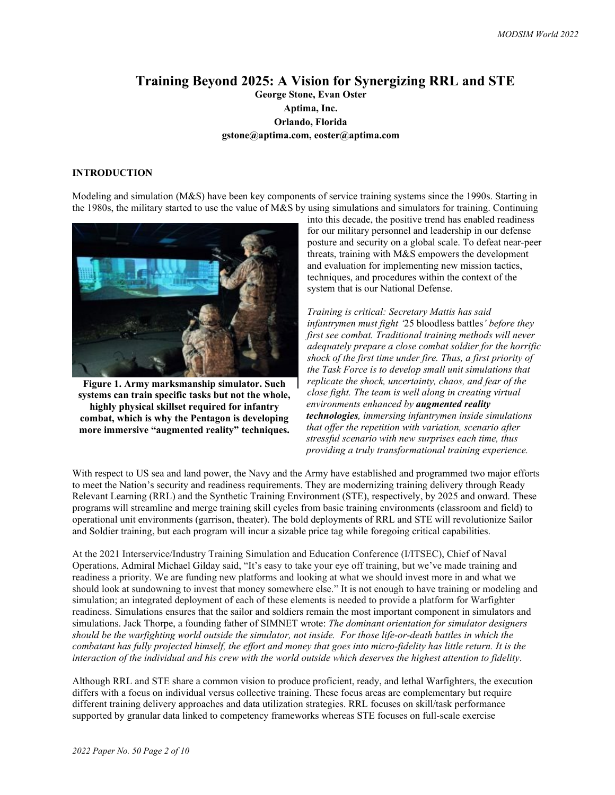# **Training Beyond 2025: A Vision for Synergizing RRL and STE George Stone, Evan Oster Aptima, Inc. Orlando, Florida gstone@aptima.com, eoster@aptima.com**

# **INTRODUCTION**

Modeling and simulation (M&S) have been key components of service training systems since the 1990s. Starting in the 1980s, the military started to use the value of M&S by using simulations and simulators for training. Continuing



**Figure 1. Army marksmanship simulator. Such systems can train specific tasks but not the whole, highly physical skillset required for infantry combat, which is why the Pentagon is developing more immersive "augmented reality" techniques.**

into this decade, the positive trend has enabled readiness for our military personnel and leadership in our defense posture and security on a global scale. To defeat near-peer threats, training with M&S empowers the development and evaluation for implementing new mission tactics, techniques, and procedures within the context of the system that is our National Defense.

*Training is critical: Secretary Mattis has said infantrymen must fight '*25 bloodless battles*' before they first see combat. Traditional training methods will never adequately prepare a close combat soldier for the horrific shock of the first time under fire. Thus, a first priority of the Task Force is to develop small unit simulations that replicate the shock, uncertainty, chaos, and fear of the close fight. The team is well along in creating virtual environments enhanced by augmented reality technologies, immersing infantrymen inside simulations that offer the repetition with variation, scenario after stressful scenario with new surprises each time, thus providing a truly transformational training experience.*

With respect to US sea and land power, the Navy and the Army have established and programmed two major efforts to meet the Nation's security and readiness requirements. They are modernizing training delivery through Ready Relevant Learning (RRL) and the Synthetic Training Environment (STE), respectively, by 2025 and onward. These programs will streamline and merge training skill cycles from basic training environments (classroom and field) to operational unit environments (garrison, theater). The bold deployments of RRL and STE will revolutionize Sailor and Soldier training, but each program will incur a sizable price tag while foregoing critical capabilities.

At the 2021 Interservice/Industry Training Simulation and Education Conference (I/ITSEC), Chief of Naval Operations, Admiral [Michael Gilday](https://www.navy.mil/Leadership/Biographies/BioDisplay/Article/2236098/admiral-michael-gilday/) said, "It's easy to take your eye off training, but we've made training and readiness a priority. We are funding new platforms and looking at what we should invest more in and what we should look at sundowning to invest that money somewhere else." It is not enough to have training or modeling and simulation; an integrated deployment of each of these elements is needed to provide a platform for Warfighter readiness. Simulations ensures that the sailor and soldiers remain the most important component in simulators and simulations. Jack Thorpe, a founding father of SIMNET wrote: *The dominant orientation for simulator designers should be the warfighting world outside the simulator, not inside. For those life-or-death battles in which the combatant has fully projected himself, the effort and money that goes into micro-fidelity has little return. It is the interaction of the individual and his crew with the world outside which deserves the highest attention to fidelity*.

Although RRL and STE share a common vision to produce proficient, ready, and lethal Warfighters, the execution differs with a focus on individual versus collective training. These focus areas are complementary but require different training delivery approaches and data utilization strategies. RRL focuses on skill/task performance supported by granular data linked to competency frameworks whereas STE focuses on full-scale exercise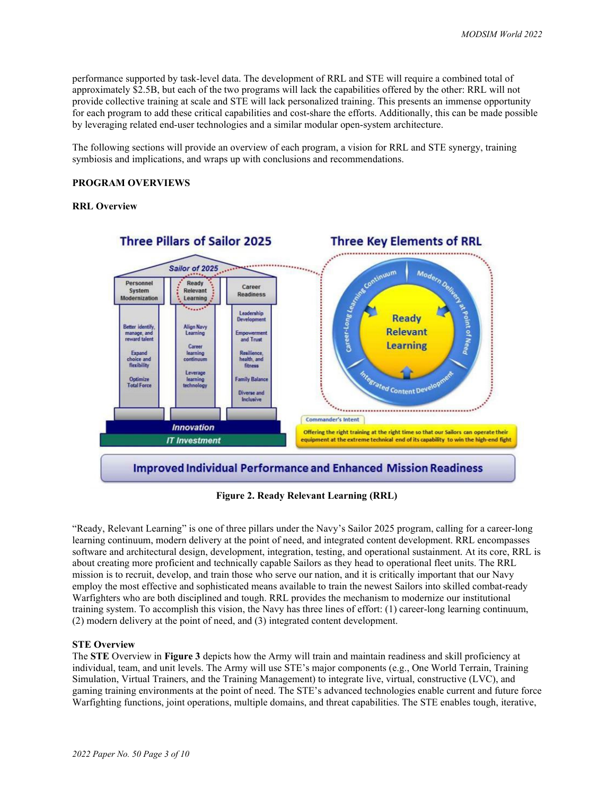performance supported by task-level data. The development of RRL and STE will require a combined total of approximately \$2.5B, but each of the two programs will lack the capabilities offered by the other: RRL will not provide collective training at scale and STE will lack personalized training. This presents an immense opportunity for each program to add these critical capabilities and cost-share the efforts. Additionally, this can be made possible by leveraging related end-user technologies and a similar modular open-system architecture.

The following sections will provide an overview of each program, a vision for RRL and STE synergy, training symbiosis and implications, and wraps up with conclusions and recommendations.

## **PROGRAM OVERVIEWS**

#### **RRL Overview**



**Figure 2. Ready Relevant Learning (RRL)**

"Ready, Relevant Learning" is one of three pillars under the Navy's Sailor 2025 program, calling for a career-long learning continuum, modern delivery at the point of need, and integrated content development. RRL encompasses software and architectural design, development, integration, testing, and operational sustainment. At its core, RRL is about creating more proficient and technically capable Sailors as they head to operational fleet units. The RRL mission is to recruit, develop, and train those who serve our nation, and it is critically important that our Navy employ the most effective and sophisticated means available to train the newest Sailors into skilled combat-ready Warfighters who are both disciplined and tough. RRL provides the mechanism to modernize our institutional training system. To accomplish this vision, the Navy has three lines of effort: (1) career-long learning continuum, (2) modern delivery at the point of need, and (3) integrated content development.

## **STE Overview**

The **STE** Overview in **Figure 3** depicts how the Army will train and maintain readiness and skill proficiency at individual, team, and unit levels. The Army will use STE's major components (e.g., One World Terrain, Training Simulation, Virtual Trainers, and the Training Management) to integrate live, virtual, constructive (LVC), and gaming training environments at the point of need. The STE's advanced technologies enable current and future force Warfighting functions, joint operations, multiple domains, and threat capabilities. The STE enables tough, iterative,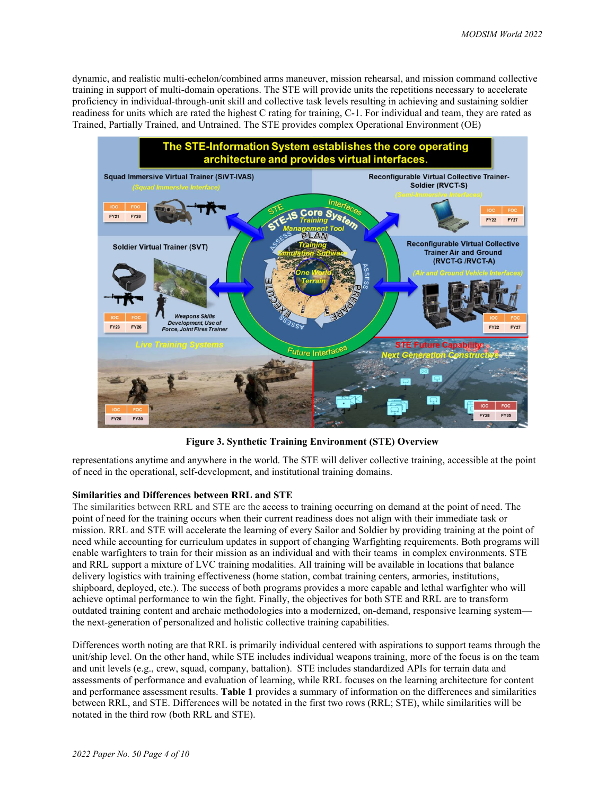dynamic, and realistic multi-echelon/combined arms maneuver, mission rehearsal, and mission command collective training in support of multi-domain operations. The STE will provide units the repetitions necessary to accelerate proficiency in individual-through-unit skill and collective task levels resulting in achieving and sustaining soldier readiness for units which are rated the highest C rating for training, C-1. For individual and team, they are rated as Trained, Partially Trained, and Untrained. The STE provides complex Operational Environment (OE)



**Figure 3. Synthetic Training Environment (STE) Overview**

representations anytime and anywhere in the world. The STE will deliver collective training, accessible at the point of need in the operational, self-development, and institutional training domains.

## **Similarities and Differences between RRL and STE**

The similarities between RRL and STE are the access to training occurring on demand at the point of need. The point of need for the training occurs when their current readiness does not align with their immediate task or mission. RRL and STE will accelerate the learning of every Sailor and Soldier by providing training at the point of need while accounting for curriculum updates in support of changing Warfighting requirements. Both programs will enable warfighters to train for their mission as an individual and with their teams in complex environments. STE and RRL support a mixture of LVC training modalities. All training will be available in locations that balance delivery logistics with training effectiveness (home station, combat training centers, armories, institutions, shipboard, deployed, etc.). The success of both programs provides a more capable and lethal warfighter who will achieve optimal performance to win the fight. Finally, the objectives for both STE and RRL are to transform outdated training content and archaic methodologies into a modernized, on-demand, responsive learning system the next-generation of personalized and holistic collective training capabilities.

Differences worth noting are that RRL is primarily individual centered with aspirations to support teams through the unit/ship level. On the other hand, while STE includes individual weapons training, more of the focus is on the team and unit levels (e.g., crew, squad, company, battalion). STE includes standardized APIs for terrain data and assessments of performance and evaluation of learning, while RRL focuses on the learning architecture for content and performance assessment results. **Table 1** provides a summary of information on the differences and similarities between RRL, and STE. Differences will be notated in the first two rows (RRL; STE), while similarities will be notated in the third row (both RRL and STE).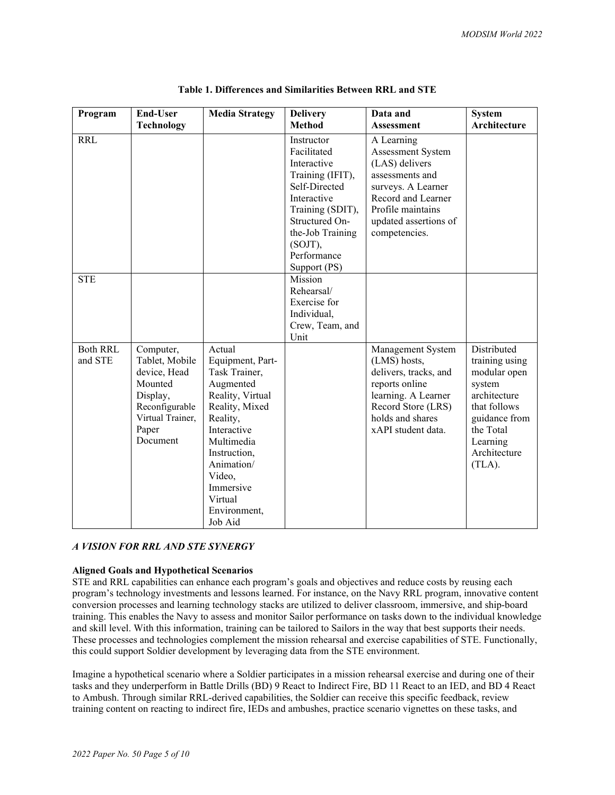| Program                    | <b>End-User</b>                                                                                                               | <b>Media Strategy</b>                                                                                                                                                                                                              | <b>Delivery</b>                                                                                                                                                                                     | Data and                                                                                                                                                                        | <b>System</b>                                                                                                                                               |
|----------------------------|-------------------------------------------------------------------------------------------------------------------------------|------------------------------------------------------------------------------------------------------------------------------------------------------------------------------------------------------------------------------------|-----------------------------------------------------------------------------------------------------------------------------------------------------------------------------------------------------|---------------------------------------------------------------------------------------------------------------------------------------------------------------------------------|-------------------------------------------------------------------------------------------------------------------------------------------------------------|
|                            | <b>Technology</b>                                                                                                             |                                                                                                                                                                                                                                    | <b>Method</b>                                                                                                                                                                                       | <b>Assessment</b>                                                                                                                                                               | Architecture                                                                                                                                                |
| <b>RRL</b>                 |                                                                                                                               |                                                                                                                                                                                                                                    | Instructor<br>Facilitated<br>Interactive<br>Training (IFIT),<br>Self-Directed<br>Interactive<br>Training (SDIT),<br>Structured On-<br>the-Job Training<br>$(SOJT)$ ,<br>Performance<br>Support (PS) | A Learning<br>Assessment System<br>(LAS) delivers<br>assessments and<br>surveys. A Learner<br>Record and Learner<br>Profile maintains<br>updated assertions of<br>competencies. |                                                                                                                                                             |
| <b>STE</b>                 |                                                                                                                               |                                                                                                                                                                                                                                    | Mission<br>Rehearsal/<br>Exercise for<br>Individual,<br>Crew, Team, and<br>Unit                                                                                                                     |                                                                                                                                                                                 |                                                                                                                                                             |
| <b>Both RRL</b><br>and STE | Computer,<br>Tablet, Mobile<br>device, Head<br>Mounted<br>Display,<br>Reconfigurable<br>Virtual Trainer,<br>Paper<br>Document | Actual<br>Equipment, Part-<br>Task Trainer,<br>Augmented<br>Reality, Virtual<br>Reality, Mixed<br>Reality,<br>Interactive<br>Multimedia<br>Instruction,<br>Animation/<br>Video,<br>Immersive<br>Virtual<br>Environment,<br>Job Aid |                                                                                                                                                                                                     | Management System<br>(LMS) hosts,<br>delivers, tracks, and<br>reports online<br>learning. A Learner<br>Record Store (LRS)<br>holds and shares<br>xAPI student data.             | Distributed<br>training using<br>modular open<br>system<br>architecture<br>that follows<br>guidance from<br>the Total<br>Learning<br>Architecture<br>(TLA). |

**Table 1. Differences and Similarities Between RRL and STE**

## *A VISION FOR RRL AND STE SYNERGY*

#### **Aligned Goals and Hypothetical Scenarios**

STE and RRL capabilities can enhance each program's goals and objectives and reduce costs by reusing each program's technology investments and lessons learned. For instance, on the Navy RRL program, innovative content conversion processes and learning technology stacks are utilized to deliver classroom, immersive, and ship-board training. This enables the Navy to assess and monitor Sailor performance on tasks down to the individual knowledge and skill level. With this information, training can be tailored to Sailors in the way that best supports their needs. These processes and technologies complement the mission rehearsal and exercise capabilities of STE. Functionally, this could support Soldier development by leveraging data from the STE environment.

Imagine a hypothetical scenario where a Soldier participates in a mission rehearsal exercise and during one of their tasks and they underperform in Battle Drills (BD) 9 React to Indirect Fire, BD 11 React to an IED, and BD 4 React to Ambush. Through similar RRL-derived capabilities, the Soldier can receive this specific feedback, review training content on reacting to indirect fire, IEDs and ambushes, practice scenario vignettes on these tasks, and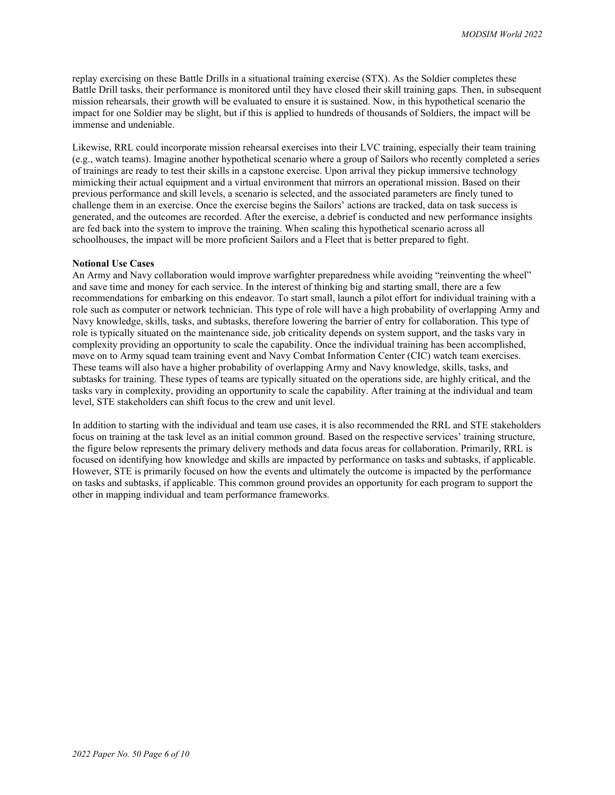replay exercising on these Battle Drills in a situational training exercise (STX). As the Soldier completes these Battle Drill tasks, their performance is monitored until they have closed their skill training gaps. Then, in subsequent mission rehearsals, their growth will be evaluated to ensure it is sustained. Now, in this hypothetical scenario the impact for one Soldier may be slight, but if this is applied to hundreds of thousands of Soldiers, the impact will be immense and undeniable.

Likewise, RRL could incorporate mission rehearsal exercises into their LVC training, especially their team training (e.g., watch teams). Imagine another hypothetical scenario where a group of Sailors who recently completed a series of trainings are ready to test their skills in a capstone exercise. Upon arrival they pickup immersive technology mimicking their actual equipment and a virtual environment that mirrors an operational mission. Based on their previous performance and skill levels, a scenario is selected, and the associated parameters are finely tuned to challenge them in an exercise. Once the exercise begins the Sailors' actions are tracked, data on task success is generated, and the outcomes are recorded. After the exercise, a debrief is conducted and new performance insights are fed back into the system to improve the training. When scaling this hypothetical scenario across all schoolhouses, the impact will be more proficient Sailors and a Fleet that is better prepared to fight.

#### **Notional Use Cases**

An Army and Navy collaboration would improve warfighter preparedness while avoiding "reinventing the wheel" and save time and money for each service. In the interest of thinking big and starting small, there are a few recommendations for embarking on this endeavor. To start small, launch a pilot effort for individual training with a role such as computer or network technician. This type of role will have a high probability of overlapping Army and Navy knowledge, skills, tasks, and subtasks, therefore lowering the barrier of entry for collaboration. This type of role is typically situated on the maintenance side, job criticality depends on system support, and the tasks vary in complexity providing an opportunity to scale the capability. Once the individual training has been accomplished, move on to Army squad team training event and Navy Combat Information Center (CIC) watch team exercises. These teams will also have a higher probability of overlapping Army and Navy knowledge, skills, tasks, and subtasks for training. These types of teams are typically situated on the operations side, are highly critical, and the tasks vary in complexity, providing an opportunity to scale the capability. After training at the individual and team level, STE stakeholders can shift focus to the crew and unit level.

In addition to starting with the individual and team use cases, it is also recommended the RRL and STE stakeholders focus on training at the task level as an initial common ground. Based on the respective services' training structure, the figure below represents the primary delivery methods and data focus areas for collaboration. Primarily, RRL is focused on identifying how knowledge and skills are impacted by performance on tasks and subtasks, if applicable. However, STE is primarily focused on how the events and ultimately the outcome is impacted by the performance on tasks and subtasks, if applicable. This common ground provides an opportunity for each program to support the other in mapping individual and team performance frameworks.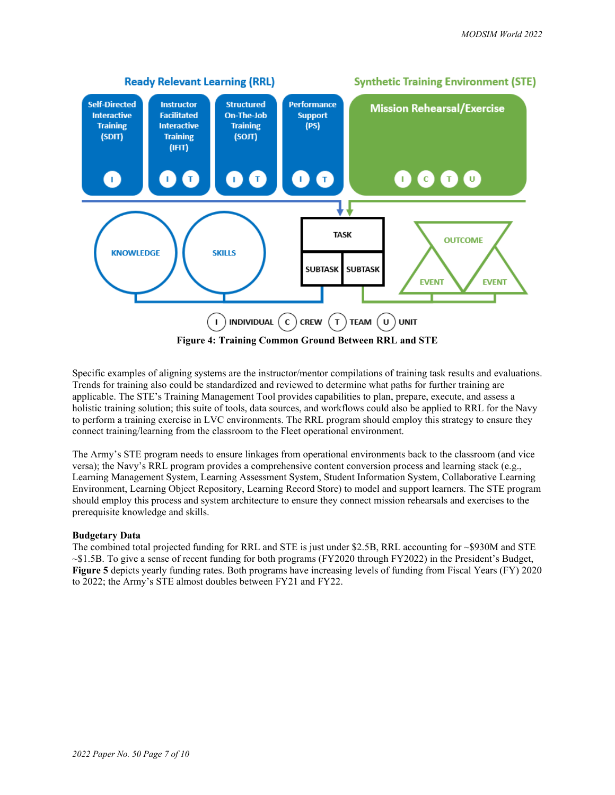

Specific examples of aligning systems are the instructor/mentor compilations of training task results and evaluations. Trends for training also could be standardized and reviewed to determine what paths for further training are applicable. The STE's Training Management Tool provides capabilities to plan, prepare, execute, and assess a holistic training solution; this suite of tools, data sources, and workflows could also be applied to RRL for the Navy to perform a training exercise in LVC environments. The RRL program should employ this strategy to ensure they connect training/learning from the classroom to the Fleet operational environment.

The Army's STE program needs to ensure linkages from operational environments back to the classroom (and vice versa); the Navy's RRL program provides a comprehensive content conversion process and learning stack (e.g., Learning Management System, Learning Assessment System, Student Information System, Collaborative Learning Environment, Learning Object Repository, Learning Record Store) to model and support learners. The STE program should employ this process and system architecture to ensure they connect mission rehearsals and exercises to the prerequisite knowledge and skills.

# **Budgetary Data**

The combined total projected funding for RRL and STE is just under \$2.5B, RRL accounting for ~\$930M and STE  $\sim$ \$1.5B. To give a sense of recent funding for both programs (FY2020 through FY2022) in the President's Budget, **Figure 5** depicts yearly funding rates. Both programs have increasing levels of funding from Fiscal Years (FY) 2020 to 2022; the Army's STE almost doubles between FY21 and FY22.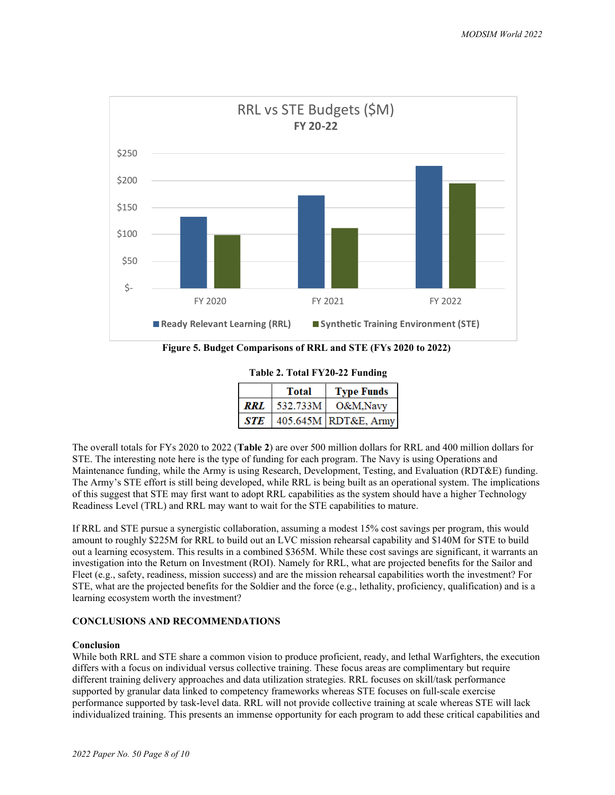

**Figure 5. Budget Comparisons of RRL and STE (FYs 2020 to 2022)**

**Table 2. Total FY20-22 Funding**

|     | <b>Total</b> | <b>Type Funds</b>    |
|-----|--------------|----------------------|
| RRL | 532.733M     | O&M.Navy             |
| STE |              | 405.645M RDT&E, Army |

The overall totals for FYs 2020 to 2022 (**Table 2**) are over 500 million dollars for RRL and 400 million dollars for STE. The interesting note here is the type of funding for each program. The Navy is using Operations and Maintenance funding, while the Army is using Research, Development, Testing, and Evaluation (RDT&E) funding. The Army's STE effort is still being developed, while RRL is being built as an operational system. The implications of this suggest that STE may first want to adopt RRL capabilities as the system should have a higher Technology Readiness Level (TRL) and RRL may want to wait for the STE capabilities to mature.

If RRL and STE pursue a synergistic collaboration, assuming a modest 15% cost savings per program, this would amount to roughly \$225M for RRL to build out an LVC mission rehearsal capability and \$140M for STE to build out a learning ecosystem. This results in a combined \$365M. While these cost savings are significant, it warrants an investigation into the Return on Investment (ROI). Namely for RRL, what are projected benefits for the Sailor and Fleet (e.g., safety, readiness, mission success) and are the mission rehearsal capabilities worth the investment? For STE, what are the projected benefits for the Soldier and the force  $(e.g.,]$  lethality, proficiency, qualification) and is a learning ecosystem worth the investment?

# **CONCLUSIONS AND RECOMMENDATIONS**

# **Conclusion**

While both RRL and STE share a common vision to produce proficient, ready, and lethal Warfighters, the execution differs with a focus on individual versus collective training. These focus areas are complimentary but require different training delivery approaches and data utilization strategies. RRL focuses on skill/task performance supported by granular data linked to competency frameworks whereas STE focuses on full-scale exercise performance supported by task-level data. RRL will not provide collective training at scale whereas STE will lack individualized training. This presents an immense opportunity for each program to add these critical capabilities and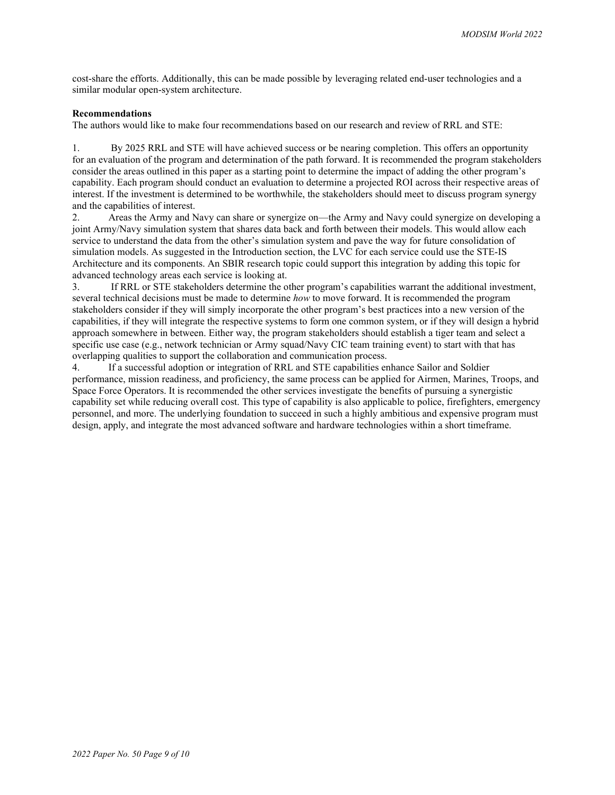cost-share the efforts. Additionally, this can be made possible by leveraging related end-user technologies and a similar modular open-system architecture.

## **Recommendations**

The authors would like to make four recommendations based on our research and review of RRL and STE:

1. By 2025 RRL and STE will have achieved success or be nearing completion. This offers an opportunity for an evaluation of the program and determination of the path forward. It is recommended the program stakeholders consider the areas outlined in this paper as a starting point to determine the impact of adding the other program's capability. Each program should conduct an evaluation to determine a projected ROI across their respective areas of interest. If the investment is determined to be worthwhile, the stakeholders should meet to discuss program synergy and the capabilities of interest.

2. Areas the Army and Navy can share or synergize on—the Army and Navy could synergize on developing a joint Army/Navy simulation system that shares data back and forth between their models. This would allow each service to understand the data from the other's simulation system and pave the way for future consolidation of simulation models. As suggested in the Introduction section, the LVC for each service could use the STE-IS Architecture and its components. An SBIR research topic could support this integration by adding this topic for advanced technology areas each service is looking at.

3. If RRL or STE stakeholders determine the other program's capabilities warrant the additional investment, several technical decisions must be made to determine *how* to move forward. It is recommended the program stakeholders consider if they will simply incorporate the other program's best practices into a new version of the capabilities, if they will integrate the respective systems to form one common system, or if they will design a hybrid approach somewhere in between. Either way, the program stakeholders should establish a tiger team and select a specific use case (e.g., network technician or Army squad/Navy CIC team training event) to start with that has overlapping qualities to support the collaboration and communication process.

4. If a successful adoption or integration of RRL and STE capabilities enhance Sailor and Soldier performance, mission readiness, and proficiency, the same process can be applied for Airmen, Marines, Troops, and Space Force Operators. It is recommended the other services investigate the benefits of pursuing a synergistic capability set while reducing overall cost. This type of capability is also applicable to police, firefighters, emergency personnel, and more. The underlying foundation to succeed in such a highly ambitious and expensive program must design, apply, and integrate the most advanced software and hardware technologies within a short timeframe.